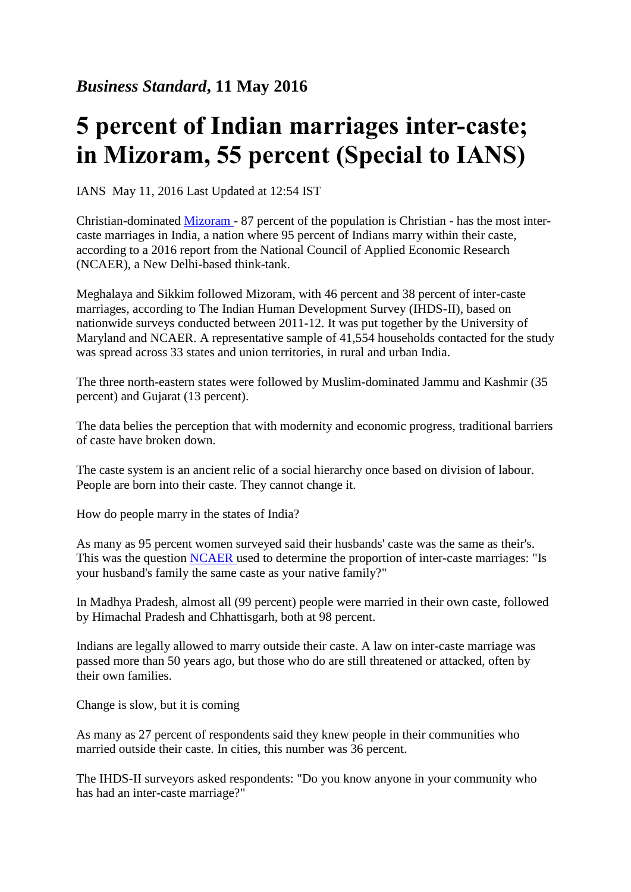## **5 percent of Indian marriages inter-caste; in Mizoram, 55 percent (Special to IANS)**

IANS May 11, 2016 Last Updated at 12:54 IST

Christian-dominated [Mizoram -](http://www.business-standard.com/search?type=news&q=Mizoram) 87 percent of the population is Christian - has the most intercaste marriages in India, a nation where 95 percent of Indians marry within their caste, according to a 2016 report from the National Council of Applied Economic Research (NCAER), a New Delhi-based think-tank.

Meghalaya and Sikkim followed Mizoram, with 46 percent and 38 percent of inter-caste marriages, according to The Indian Human Development Survey (IHDS-II), based on nationwide surveys conducted between 2011-12. It was put together by the University of Maryland and NCAER. A representative sample of 41,554 households contacted for the study was spread across 33 states and union territories, in rural and urban India.

The three north-eastern states were followed by Muslim-dominated Jammu and Kashmir (35 percent) and Gujarat (13 percent).

The data belies the perception that with modernity and economic progress, traditional barriers of caste have broken down.

The caste system is an ancient relic of a social hierarchy once based on division of labour. People are born into their caste. They cannot change it.

How do people marry in the states of India?

As many as 95 percent women surveyed said their husbands' caste was the same as their's. This was the question [NCAER u](http://www.business-standard.com/search?type=news&q=Ncaer)sed to determine the proportion of inter-caste marriages: "Is your husband's family the same caste as your native family?"

In Madhya Pradesh, almost all (99 percent) people were married in their own caste, followed by Himachal Pradesh and Chhattisgarh, both at 98 percent.

Indians are legally allowed to marry outside their caste. A law on inter-caste marriage was passed more than 50 years ago, but those who do are still threatened or attacked, often by their own families.

Change is slow, but it is coming

As many as 27 percent of respondents said they knew people in their communities who married outside their caste. In cities, this number was 36 percent.

The IHDS-II surveyors asked respondents: "Do you know anyone in your community who has had an inter-caste marriage?"